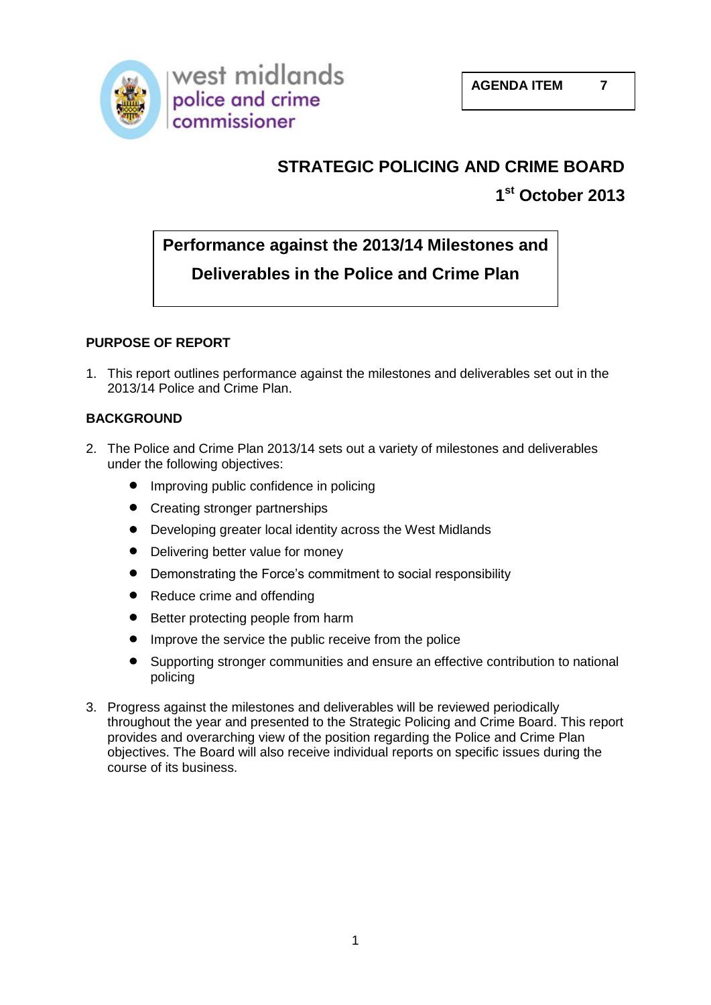

# **STRATEGIC POLICING AND CRIME BOARD**

**1 st October 2013**

# **Performance against the 2013/14 Milestones and**

# **Deliverables in the Police and Crime Plan**

### **PURPOSE OF REPORT**

1. This report outlines performance against the milestones and deliverables set out in the 2013/14 Police and Crime Plan.

### **BACKGROUND**

- 2. The Police and Crime Plan 2013/14 sets out a variety of milestones and deliverables under the following objectives:
	- Improving public confidence in policing
	- Creating stronger partnerships
	- $\bullet$ Developing greater local identity across the West Midlands
	- $\bullet$ Delivering better value for money
	- $\bullet$ Demonstrating the Force's commitment to social responsibility
	- $\bullet$ Reduce crime and offending
	- $\bullet$ Better protecting people from harm
	- Improve the service the public receive from the police  $\bullet$
	- Supporting stronger communities and ensure an effective contribution to national  $\bullet$ policing
- 3. Progress against the milestones and deliverables will be reviewed periodically throughout the year and presented to the Strategic Policing and Crime Board. This report provides and overarching view of the position regarding the Police and Crime Plan objectives. The Board will also receive individual reports on specific issues during the course of its business.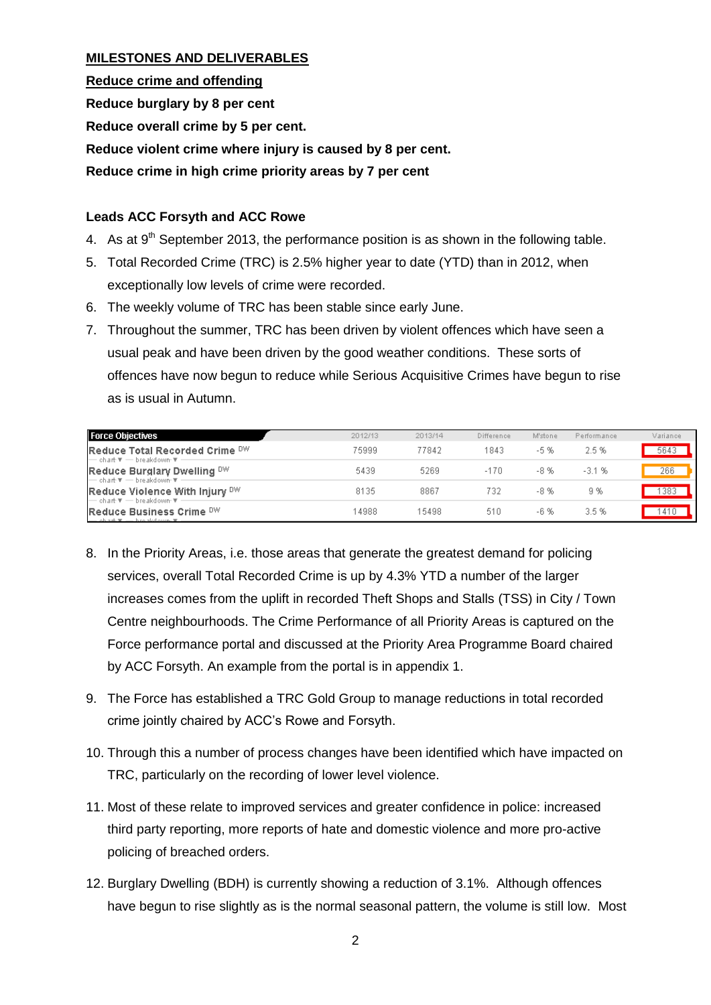#### **MILESTONES AND DELIVERABLES**

**Reduce crime and offending Reduce burglary by 8 per cent Reduce overall crime by 5 per cent. Reduce violent crime where injury is caused by 8 per cent. Reduce crime in high crime priority areas by 7 per cent**

#### **Leads ACC Forsyth and ACC Rowe**

- 4. As at  $9<sup>th</sup>$  September 2013, the performance position is as shown in the following table.
- 5. Total Recorded Crime (TRC) is 2.5% higher year to date (YTD) than in 2012, when exceptionally low levels of crime were recorded.
- 6. The weekly volume of TRC has been stable since early June.
- 7. Throughout the summer, TRC has been driven by violent offences which have seen a usual peak and have been driven by the good weather conditions. These sorts of offences have now begun to reduce while Serious Acquisitive Crimes have begun to rise as is usual in Autumn.

| <b>Force Objectives</b>                                                                                                                                 | 2012/13 | 2013/14 | Difference | M'stone | Performance | Variance |
|---------------------------------------------------------------------------------------------------------------------------------------------------------|---------|---------|------------|---------|-------------|----------|
| Reduce Total Recorded Crime DW<br>├── chart ▼ ── breakdown ▼ -                                                                                          | 75999   | 77842   | 1843       | -5 %    | 2.5%        | 5643     |
| Reduce Burglary Dwelling DW<br>$-$ chart $\overline{\mathbf{v}}$ $-$ breakdown $\overline{\mathbf{v}}$ .                                                | 5439    | 5269    | $-170$     | -8 %    | $-3.1%$     | 266      |
| Reduce Violence With Injury DW                                                                                                                          | 8135    | 8867    | 732        | -8 %    | 9 %         | 383      |
| - chart ▼ - breakdown ▼ -<br>Reduce Business Crime DW<br>$\rightarrow$ ob a sk $\overline{v}$ $\rightarrow$ b to also over $\overline{v}$ $\rightarrow$ | 14988   | 15498   | 510        | -6 %    | 3.5%        |          |

- 8. In the Priority Areas, i.e. those areas that generate the greatest demand for policing services, overall Total Recorded Crime is up by 4.3% YTD a number of the larger increases comes from the uplift in recorded Theft Shops and Stalls (TSS) in City / Town Centre neighbourhoods. The Crime Performance of all Priority Areas is captured on the Force performance portal and discussed at the Priority Area Programme Board chaired by ACC Forsyth. An example from the portal is in appendix 1.
- 9. The Force has established a TRC Gold Group to manage reductions in total recorded crime jointly chaired by ACC's Rowe and Forsyth.
- 10. Through this a number of process changes have been identified which have impacted on TRC, particularly on the recording of lower level violence.
- 11. Most of these relate to improved services and greater confidence in police: increased third party reporting, more reports of hate and domestic violence and more pro-active policing of breached orders.
- 12. Burglary Dwelling (BDH) is currently showing a reduction of 3.1%. Although offences have begun to rise slightly as is the normal seasonal pattern, the volume is still low. Most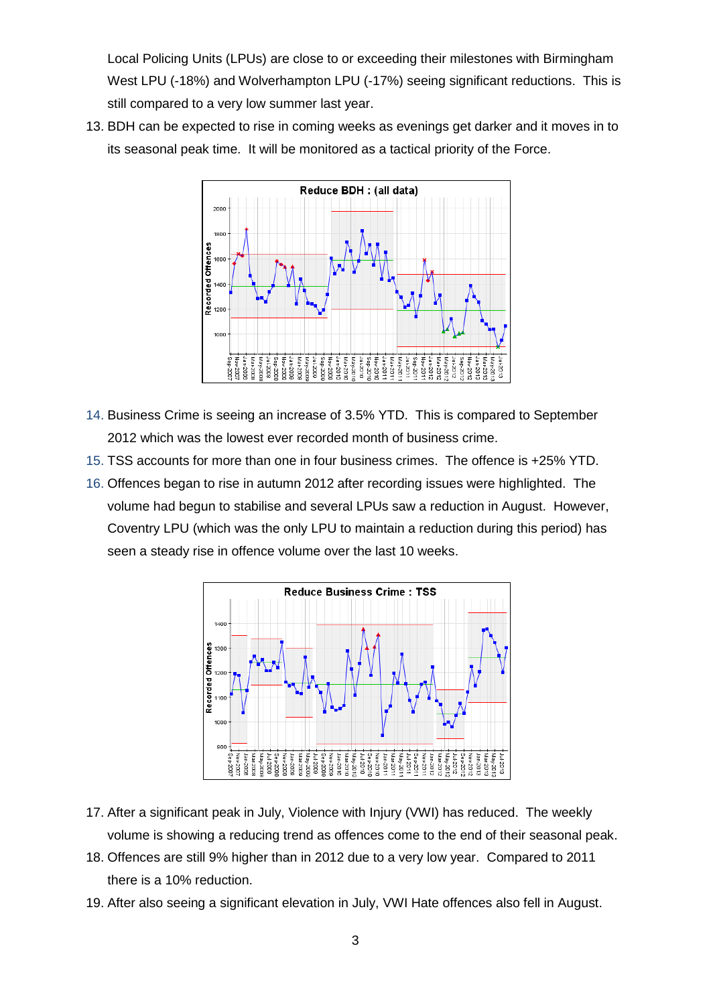Local Policing Units (LPUs) are close to or exceeding their milestones with Birmingham West LPU (-18%) and Wolverhampton LPU (-17%) seeing significant reductions. This is still compared to a very low summer last year.

13. BDH can be expected to rise in coming weeks as evenings get darker and it moves in to its seasonal peak time. It will be monitored as a tactical priority of the Force.



- 14. Business Crime is seeing an increase of 3.5% YTD. This is compared to September 2012 which was the lowest ever recorded month of business crime.
- 15. TSS accounts for more than one in four business crimes. The offence is +25% YTD.
- 16. Offences began to rise in autumn 2012 after recording issues were highlighted. The volume had begun to stabilise and several LPUs saw a reduction in August. However, Coventry LPU (which was the only LPU to maintain a reduction during this period) has seen a steady rise in offence volume over the last 10 weeks.



- 17. After a significant peak in July, Violence with Injury (VWI) has reduced. The weekly volume is showing a reducing trend as offences come to the end of their seasonal peak.
- 18. Offences are still 9% higher than in 2012 due to a very low year. Compared to 2011 there is a 10% reduction.
- 19. After also seeing a significant elevation in July, VWI Hate offences also fell in August.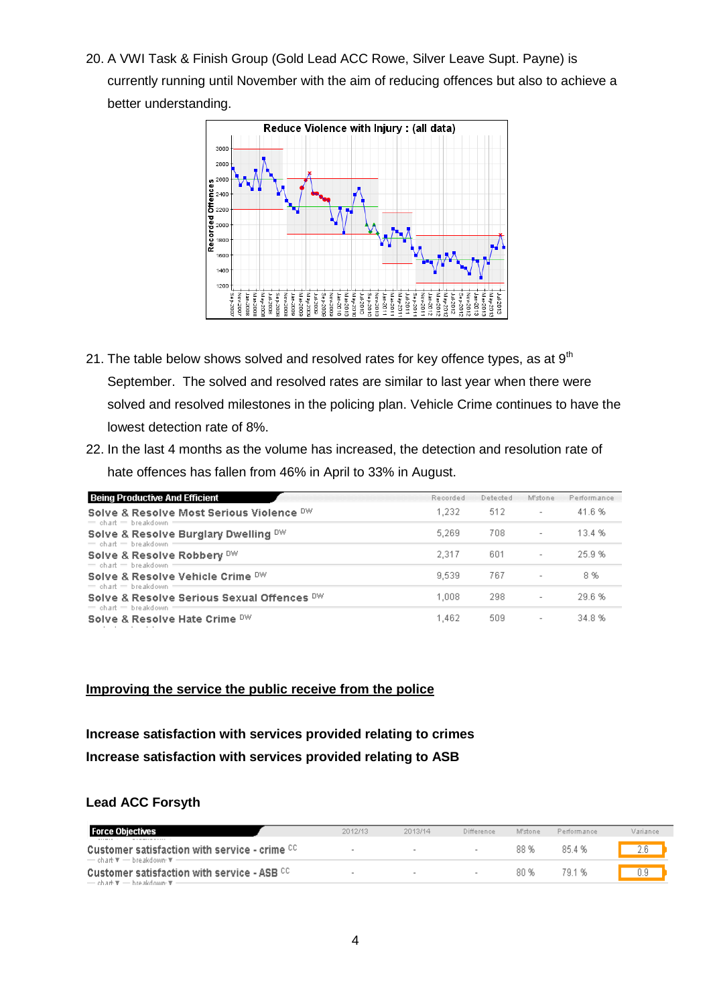20. A VWI Task & Finish Group (Gold Lead ACC Rowe, Silver Leave Supt. Payne) is currently running until November with the aim of reducing offences but also to achieve a better understanding.



- 21. The table below shows solved and resolved rates for key offence types, as at  $9<sup>th</sup>$ September. The solved and resolved rates are similar to last year when there were solved and resolved milestones in the policing plan. Vehicle Crime continues to have the lowest detection rate of 8%.
- 22. In the last 4 months as the volume has increased, the detection and resolution rate of hate offences has fallen from 46% in April to 33% in August.

| <b>Being Productive And Efficient</b>                                 | Recorded | Detected | M'stone                  | Performance |
|-----------------------------------------------------------------------|----------|----------|--------------------------|-------------|
| Solve & Resolve Most Serious Violence DW<br>$=$ chart $=$ breakdown   | 1.232    | -512     | $\overline{\phantom{a}}$ | 41.6%       |
| Solve & Resolve Burglary Dwelling DW<br>$=$ chart $=$ breakdown       | 5.269    | 708      | $\overline{\phantom{a}}$ | 13.4 %      |
| Solve & Resolve Robbery DW<br>$=$ chart $=$ breakdown                 | 2.317    | 601      | $\overline{\phantom{a}}$ | 25.9%       |
| Solve & Resolve Vehicle Crime DW<br>$=$ chart $=$ breakdown           | 9.539    | 767      | $\overline{\phantom{a}}$ | 8%          |
| Solve & Resolve Serious Sexual Offences DW<br>$=$ chart $=$ breakdown | 1.008    | 298      | $\overline{\phantom{a}}$ | 29.6%       |
| Solve & Resolve Hate Crime DW                                         | 1,462    | 509      | $\overline{\phantom{a}}$ | 34.8%       |

#### **Improving the service the public receive from the police**

### **Increase satisfaction with services provided relating to crimes Increase satisfaction with services provided relating to ASB**

#### **Lead ACC Forsyth**

| <b>Force Objectives</b>                                                                                                                                                                     | 2012/13 | 2013/14 | Difference | M'stone | Performance | Variance |
|---------------------------------------------------------------------------------------------------------------------------------------------------------------------------------------------|---------|---------|------------|---------|-------------|----------|
| for a no manning personal at-<br>Customer satisfaction with service - crime CC<br>$\rightarrow$ chart $\overline{\mathbf{r}}$ $\rightarrow$ breakdown $\overline{\mathbf{r}}$ $\rightarrow$ |         |         |            | 88 %    | 854%        | 2 R      |
| <b>Customer satisfaction with service - ASB CC.</b><br>$\rightarrow$ chart $\overline{x}$ $\rightarrow$ breakdown $\overline{x}$ $\rightarrow$                                              |         |         |            | 80 %    | 79.1 %      | 0.9      |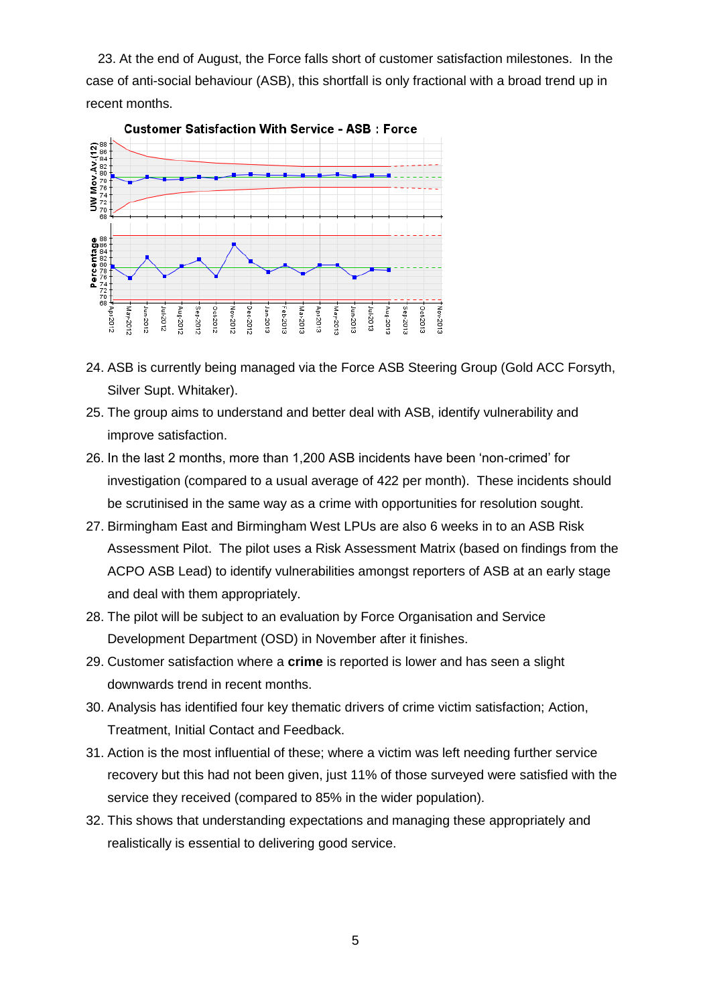23. At the end of August, the Force falls short of customer satisfaction milestones. In the case of anti-social behaviour (ASB), this shortfall is only fractional with a broad trend up in recent months.



- 24. ASB is currently being managed via the Force ASB Steering Group (Gold ACC Forsyth, Silver Supt. Whitaker).
- 25. The group aims to understand and better deal with ASB, identify vulnerability and improve satisfaction.
- 26. In the last 2 months, more than 1,200 ASB incidents have been 'non-crimed' for investigation (compared to a usual average of 422 per month). These incidents should be scrutinised in the same way as a crime with opportunities for resolution sought.
- 27. Birmingham East and Birmingham West LPUs are also 6 weeks in to an ASB Risk Assessment Pilot. The pilot uses a Risk Assessment Matrix (based on findings from the ACPO ASB Lead) to identify vulnerabilities amongst reporters of ASB at an early stage and deal with them appropriately.
- 28. The pilot will be subject to an evaluation by Force Organisation and Service Development Department (OSD) in November after it finishes.
- 29. Customer satisfaction where a **crime** is reported is lower and has seen a slight downwards trend in recent months.
- 30. Analysis has identified four key thematic drivers of crime victim satisfaction; Action, Treatment, Initial Contact and Feedback.
- 31. Action is the most influential of these; where a victim was left needing further service recovery but this had not been given, just 11% of those surveyed were satisfied with the service they received (compared to 85% in the wider population).
- 32. This shows that understanding expectations and managing these appropriately and realistically is essential to delivering good service.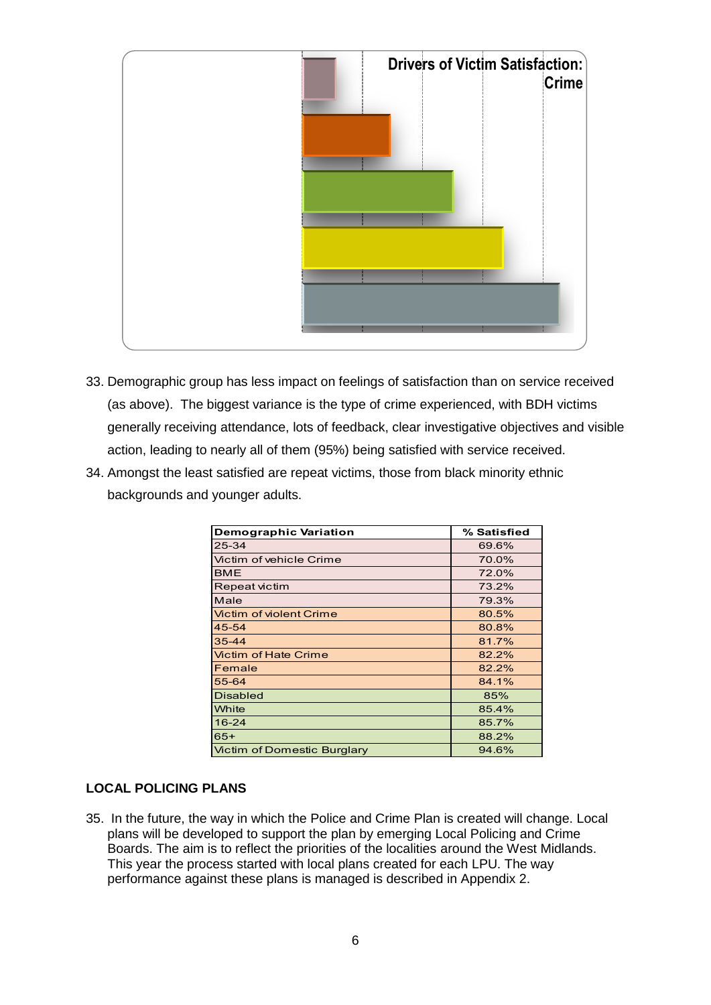

- 33. Demographic group has less impact on feelings of satisfaction than on service received (as above). The biggest variance is the type of crime experienced, with BDH victims generally receiving attendance, lots of feedback, clear investigative objectives and visible action, leading to nearly all of them (95%) being satisfied with service received.
- 34. Amongst the least satisfied are repeat victims, those from black minority ethnic backgrounds and younger adults.

| <b>Demographic Variation</b>       | % Satisfied |  |  |  |
|------------------------------------|-------------|--|--|--|
| $25 - 34$                          | 69.6%       |  |  |  |
| Victim of vehicle Crime            | 70.0%       |  |  |  |
| BME                                | 72.0%       |  |  |  |
| <b>Repeat victim</b>               | 73.2%       |  |  |  |
| Male                               | 79.3%       |  |  |  |
| Victim of violent Crime            | 80.5%       |  |  |  |
| 45-54                              | 80.8%       |  |  |  |
| $35 - 44$                          | 81.7%       |  |  |  |
| <b>Victim of Hate Crime</b>        | 82.2%       |  |  |  |
| Female                             | 82.2%       |  |  |  |
| 55-64                              | 84.1%       |  |  |  |
| <b>Disabled</b>                    | 85%         |  |  |  |
| White                              | 85.4%       |  |  |  |
| $16 - 24$                          | 85.7%       |  |  |  |
| $65+$                              | 88.2%       |  |  |  |
| <b>Victim of Domestic Burglary</b> | 94.6%       |  |  |  |

#### **LOCAL POLICING PLANS**

35. In the future, the way in which the Police and Crime Plan is created will change. Local plans will be developed to support the plan by emerging Local Policing and Crime Boards. The aim is to reflect the priorities of the localities around the West Midlands. This year the process started with local plans created for each LPU. The way performance against these plans is managed is described in Appendix 2.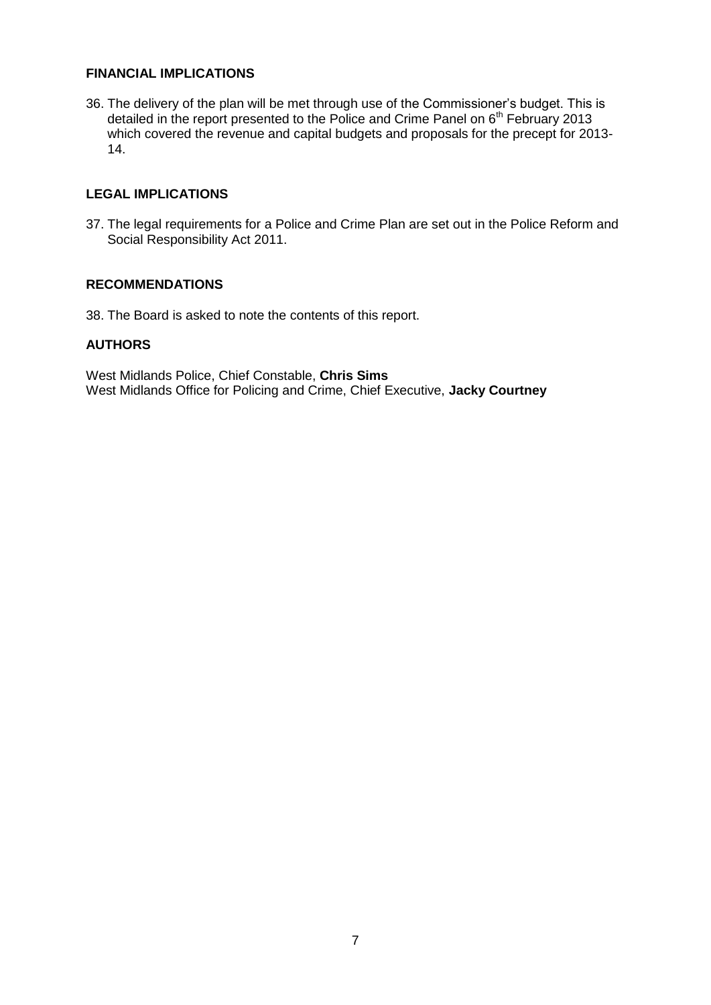#### **FINANCIAL IMPLICATIONS**

36. The delivery of the plan will be met through use of the Commissioner's budget. This is detailed in the report presented to the Police and Crime Panel on 6<sup>th</sup> February 2013 which covered the revenue and capital budgets and proposals for the precept for 2013- 14.

#### **LEGAL IMPLICATIONS**

37. The legal requirements for a Police and Crime Plan are set out in the Police Reform and Social Responsibility Act 2011.

#### **RECOMMENDATIONS**

38. The Board is asked to note the contents of this report.

#### **AUTHORS**

West Midlands Police, Chief Constable, **Chris Sims** West Midlands Office for Policing and Crime, Chief Executive, **Jacky Courtney**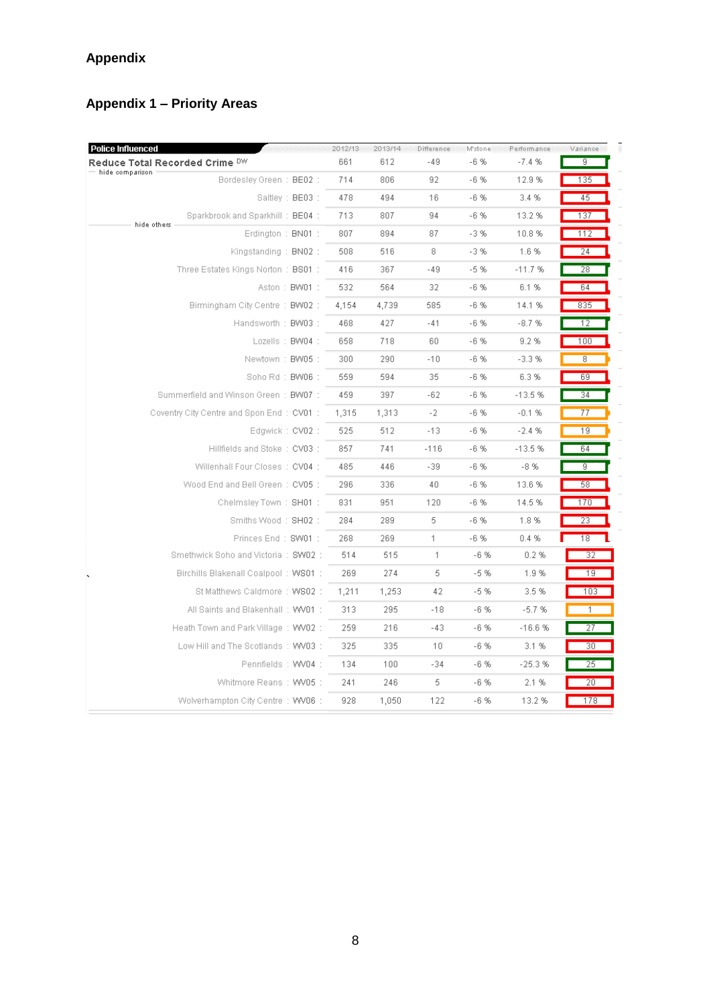## **Appendix**

## **Appendix 1 – Priority Areas**

| 661<br>612<br>$-49$<br>$-6%$<br>$-7.4%$<br>9<br>Reduce Total Recorded Crime DW<br>hide comparison<br>Bordesley Green: BE02:<br>806<br>$-6%$<br>135<br>714<br>92<br>12.9%<br>Saltley: BE03:<br>478<br>494<br>16<br>$-6%$<br>3.4 %<br>45<br>Sparkbrook and Sparkhill: BE04 :<br>807<br>713<br>94<br>$-6%$<br>13.2 %<br>137<br>hide others<br>807<br>894<br>87<br>$-3%$<br>10.8%<br>112<br>Erdington : $BNO1$ :<br>516<br>8<br>$-3%$<br>Kingstanding: BN02:<br>508<br>1.6%<br>24<br>Three Estates Kings Norton: BS01:<br>367<br>$-5%$<br>416<br>-49<br>$-11.7%$<br>28<br>Aston: BW01:<br>532<br>564<br>32<br>$-6%$<br>6.1%<br>64<br>Birmingham City Centre: BW02:<br>585<br>$-6%$<br>835<br>4,154<br>4,739<br>14.1 %<br>Handsworth: BW03:<br>427<br>$-41$<br>$-6%$<br>$-8.7%$<br>468<br>12<br>Lozells: BW04:<br>718<br>60<br>$-6%$<br>9.2%<br>658<br>100<br>290<br>$-6%$<br>Newtown: BW05:<br>300<br>$-10$<br>$-3.3%$<br>8<br>Soho Rd: BW06:<br>559<br>594<br>35<br>-6 %<br>6.3%<br>69<br>Summerfield and Winson Green: BW07:<br>459<br>397<br>-62<br>$-6%$<br>$-13.5%$<br>34<br>Coventry City Centre and Spon End: CV01:<br>$-2$<br>$-6%$<br>1,315<br>1,313<br>$-0.1%$<br>77<br>Edgwick: CV02:<br>525<br>512<br>$-13$<br>$-6%$<br>$-2.4%$<br>19<br>Hillfields and Stoke: CV03:<br>857<br>741<br>$-116$<br>$-6%$<br>$-13.5%$<br>64<br>$-6%$<br>Willenhall Four Closes: CV04 :<br>485<br>446<br>$-39$<br>$-8%$<br>g<br>Wood End and Bell Green: CV05:<br>336<br>40<br>296<br>$-6%$<br>13.6%<br>58<br>Chelmsley Town: SH01:<br>951<br>$-6%$<br>14.5%<br>831<br>120<br>170<br>Smiths Wood: SH02:<br>289<br>5<br>$-6%$<br>1.8%<br>284<br>23<br>Princes End: SW01:<br>268<br>269<br>$\mathbf{1}$<br>$-6%$<br>0.4 %<br>18<br>Smethwick Soho and Victoria: SW02:<br>514<br>515<br>$\mathbf{1}$<br>$-6%$<br>0.2 %<br>32<br>5<br>$-5%$<br>Birchills Blakenall Coalpool: WS01:<br>269<br>274<br>1.9%<br>19<br>42<br>$-5%$<br>St Matthews Caldmore: WS02:<br>1,211<br>1,253<br>3.5%<br>103<br>All Saints and Blakenhall: WV01:<br>295<br>$-18$<br>$-6%$<br>$-5.7%$<br>313<br>$\mathbf{1}$<br>Heath Town and Park Village: WV02:<br>259<br>216<br>$-43$<br>$-6%$<br>27<br>$-16.6%$<br>Low Hill and The Scotlands: WV03:<br>325<br>335<br>10<br>$-6%$<br>3.1%<br>30 <sub>2</sub><br>Pennfields: WV04:<br>134<br>100<br>$-34$<br>-6 %<br>$-25.3%$<br>25<br>246<br>5.<br>$-6%$<br>Whitmore Reans: WV05:<br>241<br>2.1 %<br>20<br>Wolverhampton City Centre: WV06:<br>928<br>1,050<br>122<br>-6 %<br>13.2 %<br>178 | <b>Police Influenced</b> | 2012/13 | 2013/14 | Difference | M'stone | Performance | Variance |
|-------------------------------------------------------------------------------------------------------------------------------------------------------------------------------------------------------------------------------------------------------------------------------------------------------------------------------------------------------------------------------------------------------------------------------------------------------------------------------------------------------------------------------------------------------------------------------------------------------------------------------------------------------------------------------------------------------------------------------------------------------------------------------------------------------------------------------------------------------------------------------------------------------------------------------------------------------------------------------------------------------------------------------------------------------------------------------------------------------------------------------------------------------------------------------------------------------------------------------------------------------------------------------------------------------------------------------------------------------------------------------------------------------------------------------------------------------------------------------------------------------------------------------------------------------------------------------------------------------------------------------------------------------------------------------------------------------------------------------------------------------------------------------------------------------------------------------------------------------------------------------------------------------------------------------------------------------------------------------------------------------------------------------------------------------------------------------------------------------------------------------------------------------------------------------------------------------------------------------------------------------------------------------------------------------------------------------------------------------------------------------------------------------------------------------------------------------------------------------------------------|--------------------------|---------|---------|------------|---------|-------------|----------|
|                                                                                                                                                                                                                                                                                                                                                                                                                                                                                                                                                                                                                                                                                                                                                                                                                                                                                                                                                                                                                                                                                                                                                                                                                                                                                                                                                                                                                                                                                                                                                                                                                                                                                                                                                                                                                                                                                                                                                                                                                                                                                                                                                                                                                                                                                                                                                                                                                                                                                                 |                          |         |         |            |         |             |          |
|                                                                                                                                                                                                                                                                                                                                                                                                                                                                                                                                                                                                                                                                                                                                                                                                                                                                                                                                                                                                                                                                                                                                                                                                                                                                                                                                                                                                                                                                                                                                                                                                                                                                                                                                                                                                                                                                                                                                                                                                                                                                                                                                                                                                                                                                                                                                                                                                                                                                                                 |                          |         |         |            |         |             |          |
|                                                                                                                                                                                                                                                                                                                                                                                                                                                                                                                                                                                                                                                                                                                                                                                                                                                                                                                                                                                                                                                                                                                                                                                                                                                                                                                                                                                                                                                                                                                                                                                                                                                                                                                                                                                                                                                                                                                                                                                                                                                                                                                                                                                                                                                                                                                                                                                                                                                                                                 |                          |         |         |            |         |             |          |
|                                                                                                                                                                                                                                                                                                                                                                                                                                                                                                                                                                                                                                                                                                                                                                                                                                                                                                                                                                                                                                                                                                                                                                                                                                                                                                                                                                                                                                                                                                                                                                                                                                                                                                                                                                                                                                                                                                                                                                                                                                                                                                                                                                                                                                                                                                                                                                                                                                                                                                 |                          |         |         |            |         |             |          |
|                                                                                                                                                                                                                                                                                                                                                                                                                                                                                                                                                                                                                                                                                                                                                                                                                                                                                                                                                                                                                                                                                                                                                                                                                                                                                                                                                                                                                                                                                                                                                                                                                                                                                                                                                                                                                                                                                                                                                                                                                                                                                                                                                                                                                                                                                                                                                                                                                                                                                                 |                          |         |         |            |         |             |          |
|                                                                                                                                                                                                                                                                                                                                                                                                                                                                                                                                                                                                                                                                                                                                                                                                                                                                                                                                                                                                                                                                                                                                                                                                                                                                                                                                                                                                                                                                                                                                                                                                                                                                                                                                                                                                                                                                                                                                                                                                                                                                                                                                                                                                                                                                                                                                                                                                                                                                                                 |                          |         |         |            |         |             |          |
|                                                                                                                                                                                                                                                                                                                                                                                                                                                                                                                                                                                                                                                                                                                                                                                                                                                                                                                                                                                                                                                                                                                                                                                                                                                                                                                                                                                                                                                                                                                                                                                                                                                                                                                                                                                                                                                                                                                                                                                                                                                                                                                                                                                                                                                                                                                                                                                                                                                                                                 |                          |         |         |            |         |             |          |
|                                                                                                                                                                                                                                                                                                                                                                                                                                                                                                                                                                                                                                                                                                                                                                                                                                                                                                                                                                                                                                                                                                                                                                                                                                                                                                                                                                                                                                                                                                                                                                                                                                                                                                                                                                                                                                                                                                                                                                                                                                                                                                                                                                                                                                                                                                                                                                                                                                                                                                 |                          |         |         |            |         |             |          |
|                                                                                                                                                                                                                                                                                                                                                                                                                                                                                                                                                                                                                                                                                                                                                                                                                                                                                                                                                                                                                                                                                                                                                                                                                                                                                                                                                                                                                                                                                                                                                                                                                                                                                                                                                                                                                                                                                                                                                                                                                                                                                                                                                                                                                                                                                                                                                                                                                                                                                                 |                          |         |         |            |         |             |          |
|                                                                                                                                                                                                                                                                                                                                                                                                                                                                                                                                                                                                                                                                                                                                                                                                                                                                                                                                                                                                                                                                                                                                                                                                                                                                                                                                                                                                                                                                                                                                                                                                                                                                                                                                                                                                                                                                                                                                                                                                                                                                                                                                                                                                                                                                                                                                                                                                                                                                                                 |                          |         |         |            |         |             |          |
|                                                                                                                                                                                                                                                                                                                                                                                                                                                                                                                                                                                                                                                                                                                                                                                                                                                                                                                                                                                                                                                                                                                                                                                                                                                                                                                                                                                                                                                                                                                                                                                                                                                                                                                                                                                                                                                                                                                                                                                                                                                                                                                                                                                                                                                                                                                                                                                                                                                                                                 |                          |         |         |            |         |             |          |
|                                                                                                                                                                                                                                                                                                                                                                                                                                                                                                                                                                                                                                                                                                                                                                                                                                                                                                                                                                                                                                                                                                                                                                                                                                                                                                                                                                                                                                                                                                                                                                                                                                                                                                                                                                                                                                                                                                                                                                                                                                                                                                                                                                                                                                                                                                                                                                                                                                                                                                 |                          |         |         |            |         |             |          |
|                                                                                                                                                                                                                                                                                                                                                                                                                                                                                                                                                                                                                                                                                                                                                                                                                                                                                                                                                                                                                                                                                                                                                                                                                                                                                                                                                                                                                                                                                                                                                                                                                                                                                                                                                                                                                                                                                                                                                                                                                                                                                                                                                                                                                                                                                                                                                                                                                                                                                                 |                          |         |         |            |         |             |          |
|                                                                                                                                                                                                                                                                                                                                                                                                                                                                                                                                                                                                                                                                                                                                                                                                                                                                                                                                                                                                                                                                                                                                                                                                                                                                                                                                                                                                                                                                                                                                                                                                                                                                                                                                                                                                                                                                                                                                                                                                                                                                                                                                                                                                                                                                                                                                                                                                                                                                                                 |                          |         |         |            |         |             |          |
|                                                                                                                                                                                                                                                                                                                                                                                                                                                                                                                                                                                                                                                                                                                                                                                                                                                                                                                                                                                                                                                                                                                                                                                                                                                                                                                                                                                                                                                                                                                                                                                                                                                                                                                                                                                                                                                                                                                                                                                                                                                                                                                                                                                                                                                                                                                                                                                                                                                                                                 |                          |         |         |            |         |             |          |
|                                                                                                                                                                                                                                                                                                                                                                                                                                                                                                                                                                                                                                                                                                                                                                                                                                                                                                                                                                                                                                                                                                                                                                                                                                                                                                                                                                                                                                                                                                                                                                                                                                                                                                                                                                                                                                                                                                                                                                                                                                                                                                                                                                                                                                                                                                                                                                                                                                                                                                 |                          |         |         |            |         |             |          |
|                                                                                                                                                                                                                                                                                                                                                                                                                                                                                                                                                                                                                                                                                                                                                                                                                                                                                                                                                                                                                                                                                                                                                                                                                                                                                                                                                                                                                                                                                                                                                                                                                                                                                                                                                                                                                                                                                                                                                                                                                                                                                                                                                                                                                                                                                                                                                                                                                                                                                                 |                          |         |         |            |         |             |          |
|                                                                                                                                                                                                                                                                                                                                                                                                                                                                                                                                                                                                                                                                                                                                                                                                                                                                                                                                                                                                                                                                                                                                                                                                                                                                                                                                                                                                                                                                                                                                                                                                                                                                                                                                                                                                                                                                                                                                                                                                                                                                                                                                                                                                                                                                                                                                                                                                                                                                                                 |                          |         |         |            |         |             |          |
|                                                                                                                                                                                                                                                                                                                                                                                                                                                                                                                                                                                                                                                                                                                                                                                                                                                                                                                                                                                                                                                                                                                                                                                                                                                                                                                                                                                                                                                                                                                                                                                                                                                                                                                                                                                                                                                                                                                                                                                                                                                                                                                                                                                                                                                                                                                                                                                                                                                                                                 |                          |         |         |            |         |             |          |
|                                                                                                                                                                                                                                                                                                                                                                                                                                                                                                                                                                                                                                                                                                                                                                                                                                                                                                                                                                                                                                                                                                                                                                                                                                                                                                                                                                                                                                                                                                                                                                                                                                                                                                                                                                                                                                                                                                                                                                                                                                                                                                                                                                                                                                                                                                                                                                                                                                                                                                 |                          |         |         |            |         |             |          |
|                                                                                                                                                                                                                                                                                                                                                                                                                                                                                                                                                                                                                                                                                                                                                                                                                                                                                                                                                                                                                                                                                                                                                                                                                                                                                                                                                                                                                                                                                                                                                                                                                                                                                                                                                                                                                                                                                                                                                                                                                                                                                                                                                                                                                                                                                                                                                                                                                                                                                                 |                          |         |         |            |         |             |          |
|                                                                                                                                                                                                                                                                                                                                                                                                                                                                                                                                                                                                                                                                                                                                                                                                                                                                                                                                                                                                                                                                                                                                                                                                                                                                                                                                                                                                                                                                                                                                                                                                                                                                                                                                                                                                                                                                                                                                                                                                                                                                                                                                                                                                                                                                                                                                                                                                                                                                                                 |                          |         |         |            |         |             |          |
|                                                                                                                                                                                                                                                                                                                                                                                                                                                                                                                                                                                                                                                                                                                                                                                                                                                                                                                                                                                                                                                                                                                                                                                                                                                                                                                                                                                                                                                                                                                                                                                                                                                                                                                                                                                                                                                                                                                                                                                                                                                                                                                                                                                                                                                                                                                                                                                                                                                                                                 |                          |         |         |            |         |             |          |
|                                                                                                                                                                                                                                                                                                                                                                                                                                                                                                                                                                                                                                                                                                                                                                                                                                                                                                                                                                                                                                                                                                                                                                                                                                                                                                                                                                                                                                                                                                                                                                                                                                                                                                                                                                                                                                                                                                                                                                                                                                                                                                                                                                                                                                                                                                                                                                                                                                                                                                 |                          |         |         |            |         |             |          |
|                                                                                                                                                                                                                                                                                                                                                                                                                                                                                                                                                                                                                                                                                                                                                                                                                                                                                                                                                                                                                                                                                                                                                                                                                                                                                                                                                                                                                                                                                                                                                                                                                                                                                                                                                                                                                                                                                                                                                                                                                                                                                                                                                                                                                                                                                                                                                                                                                                                                                                 |                          |         |         |            |         |             |          |
|                                                                                                                                                                                                                                                                                                                                                                                                                                                                                                                                                                                                                                                                                                                                                                                                                                                                                                                                                                                                                                                                                                                                                                                                                                                                                                                                                                                                                                                                                                                                                                                                                                                                                                                                                                                                                                                                                                                                                                                                                                                                                                                                                                                                                                                                                                                                                                                                                                                                                                 |                          |         |         |            |         |             |          |
|                                                                                                                                                                                                                                                                                                                                                                                                                                                                                                                                                                                                                                                                                                                                                                                                                                                                                                                                                                                                                                                                                                                                                                                                                                                                                                                                                                                                                                                                                                                                                                                                                                                                                                                                                                                                                                                                                                                                                                                                                                                                                                                                                                                                                                                                                                                                                                                                                                                                                                 |                          |         |         |            |         |             |          |
|                                                                                                                                                                                                                                                                                                                                                                                                                                                                                                                                                                                                                                                                                                                                                                                                                                                                                                                                                                                                                                                                                                                                                                                                                                                                                                                                                                                                                                                                                                                                                                                                                                                                                                                                                                                                                                                                                                                                                                                                                                                                                                                                                                                                                                                                                                                                                                                                                                                                                                 |                          |         |         |            |         |             |          |
|                                                                                                                                                                                                                                                                                                                                                                                                                                                                                                                                                                                                                                                                                                                                                                                                                                                                                                                                                                                                                                                                                                                                                                                                                                                                                                                                                                                                                                                                                                                                                                                                                                                                                                                                                                                                                                                                                                                                                                                                                                                                                                                                                                                                                                                                                                                                                                                                                                                                                                 |                          |         |         |            |         |             |          |
|                                                                                                                                                                                                                                                                                                                                                                                                                                                                                                                                                                                                                                                                                                                                                                                                                                                                                                                                                                                                                                                                                                                                                                                                                                                                                                                                                                                                                                                                                                                                                                                                                                                                                                                                                                                                                                                                                                                                                                                                                                                                                                                                                                                                                                                                                                                                                                                                                                                                                                 |                          |         |         |            |         |             |          |
|                                                                                                                                                                                                                                                                                                                                                                                                                                                                                                                                                                                                                                                                                                                                                                                                                                                                                                                                                                                                                                                                                                                                                                                                                                                                                                                                                                                                                                                                                                                                                                                                                                                                                                                                                                                                                                                                                                                                                                                                                                                                                                                                                                                                                                                                                                                                                                                                                                                                                                 |                          |         |         |            |         |             |          |